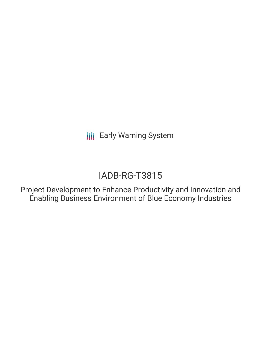**III** Early Warning System

# IADB-RG-T3815

Project Development to Enhance Productivity and Innovation and Enabling Business Environment of Blue Economy Industries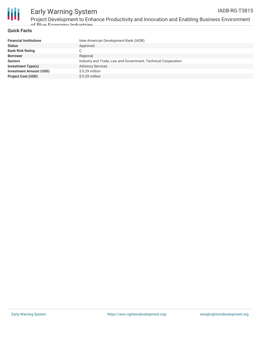

## Early Warning System

Project Development to Enhance Productivity and Innovation and Enabling Business Environment of Blue Economy Industries

### **Quick Facts**

| <b>Financial Institutions</b>  | Inter-American Development Bank (IADB)                        |
|--------------------------------|---------------------------------------------------------------|
| <b>Status</b>                  | Approved                                                      |
| <b>Bank Risk Rating</b>        | C                                                             |
| <b>Borrower</b>                | Regional                                                      |
| <b>Sectors</b>                 | Industry and Trade, Law and Government, Technical Cooperation |
| <b>Investment Type(s)</b>      | <b>Advisory Services</b>                                      |
| <b>Investment Amount (USD)</b> | \$ 0.29 million                                               |
| <b>Project Cost (USD)</b>      | \$ 0.29 million                                               |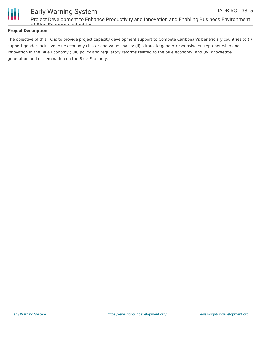

## Early Warning System

Project Development to Enhance Productivity and Innovation and Enabling Business Environment of Blue Economy Industries

### **Project Description**

The objective of this TC is to provide project capacity development support to Compete Caribbean's beneficiary countries to (i) support gender-inclusive, blue economy cluster and value chains; (ii) stimulate gender-responsive entrepreneurship and innovation in the Blue Economy ; (iii) policy and regulatory reforms related to the blue economy; and (iv) knowledge generation and dissemination on the Blue Economy.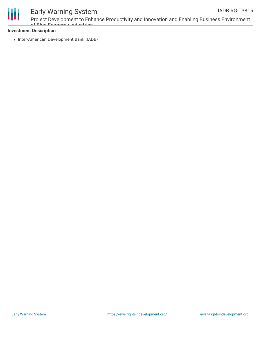

### Early Warning System

Project Development to Enhance Productivity and Innovation and Enabling Business Environment of Blue Economy Industries

### **Investment Description**

• Inter-American Development Bank (IADB)